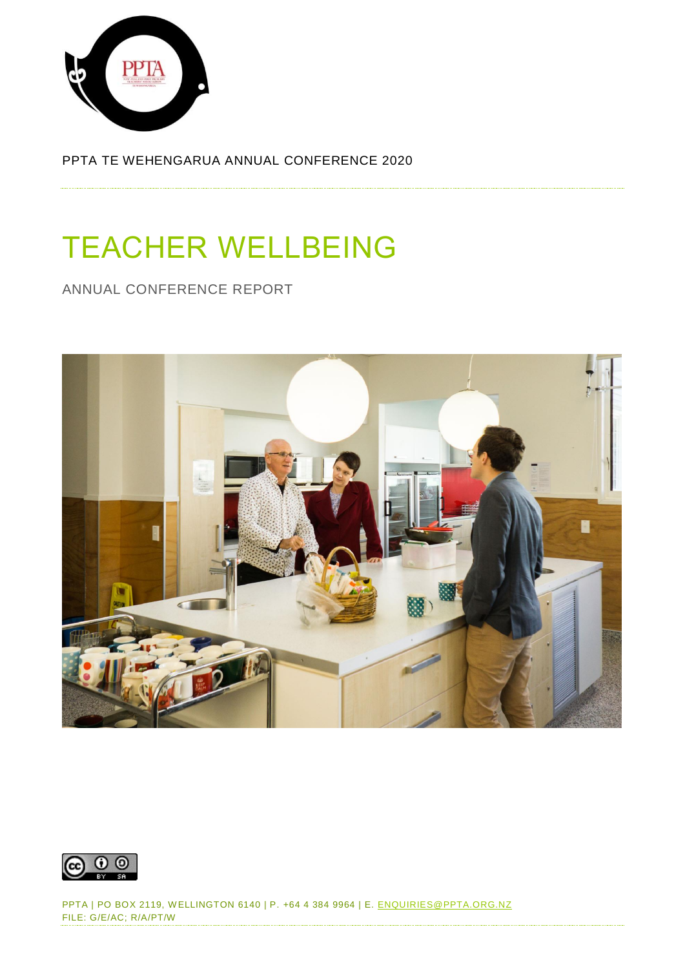

PPTA TE WEHENGARUA ANNUAL CONFERENCE 2020

# TEACHER WELLBEING

ANNUAL CONFERENCE REPORT





PPTA | PO BOX 2119, W ELLINGTON 6140 | P. +64 4 384 9964 | E. [ENQUIRIES@PPTA.ORG.NZ](mailto:enquiries@ppta.org.nz) FILE: G/E/AC; R/A/PT/W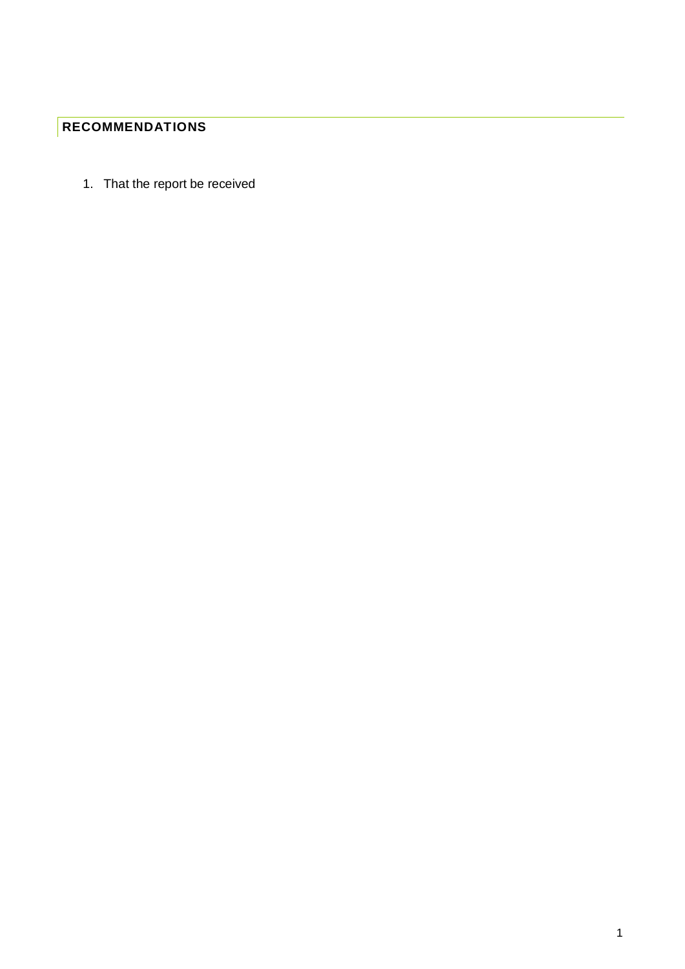# <span id="page-1-0"></span>**RECOMMENDATIONS**

1. That the report be received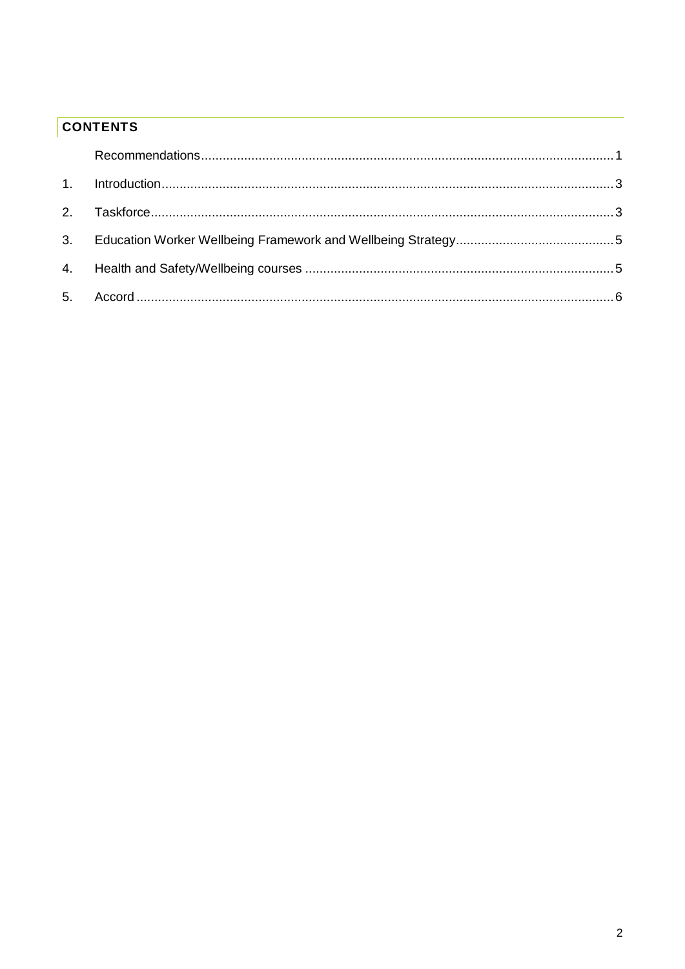# **CONTENTS**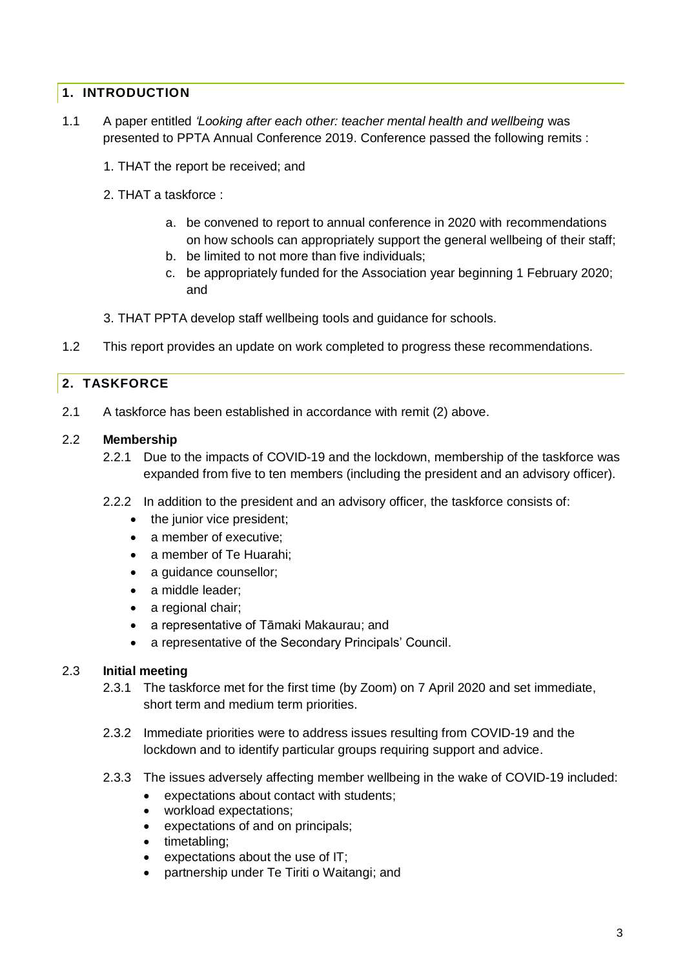## <span id="page-3-0"></span>**1. INTRODUCTION**

- 1.1 A paper entitled *'Looking after each other: teacher mental health and wellbeing* was presented to PPTA Annual Conference 2019. Conference passed the following remits :
	- 1. THAT the report be received; and
	- 2. THAT a taskforce :
		- a. be convened to report to annual conference in 2020 with recommendations on how schools can appropriately support the general wellbeing of their staff;
		- b. be limited to not more than five individuals;
		- c. be appropriately funded for the Association year beginning 1 February 2020; and
	- 3. THAT PPTA develop staff wellbeing tools and guidance for schools.
- 1.2 This report provides an update on work completed to progress these recommendations.

## <span id="page-3-1"></span>**2. TASKFORCE**

2.1 A taskforce has been established in accordance with remit (2) above.

#### 2.2 **Membership**

- 2.2.1 Due to the impacts of COVID-19 and the lockdown, membership of the taskforce was expanded from five to ten members (including the president and an advisory officer).
- 2.2.2 In addition to the president and an advisory officer, the taskforce consists of:
	- the junior vice president;
	- a member of executive:
	- a member of Te Huarahi;
	- a guidance counsellor;
	- a middle leader;
	- a regional chair:
	- a representative of Tāmaki Makaurau; and
	- a representative of the Secondary Principals' Council.

#### 2.3 **Initial meeting**

- 2.3.1 The taskforce met for the first time (by Zoom) on 7 April 2020 and set immediate, short term and medium term priorities.
- 2.3.2 Immediate priorities were to address issues resulting from COVID-19 and the lockdown and to identify particular groups requiring support and advice.
- 2.3.3 The issues adversely affecting member wellbeing in the wake of COVID-19 included:
	- expectations about contact with students;
	- workload expectations;
	- expectations of and on principals;
	- timetabling:
	- expectations about the use of IT;
	- partnership under Te Tiriti o Waitangi; and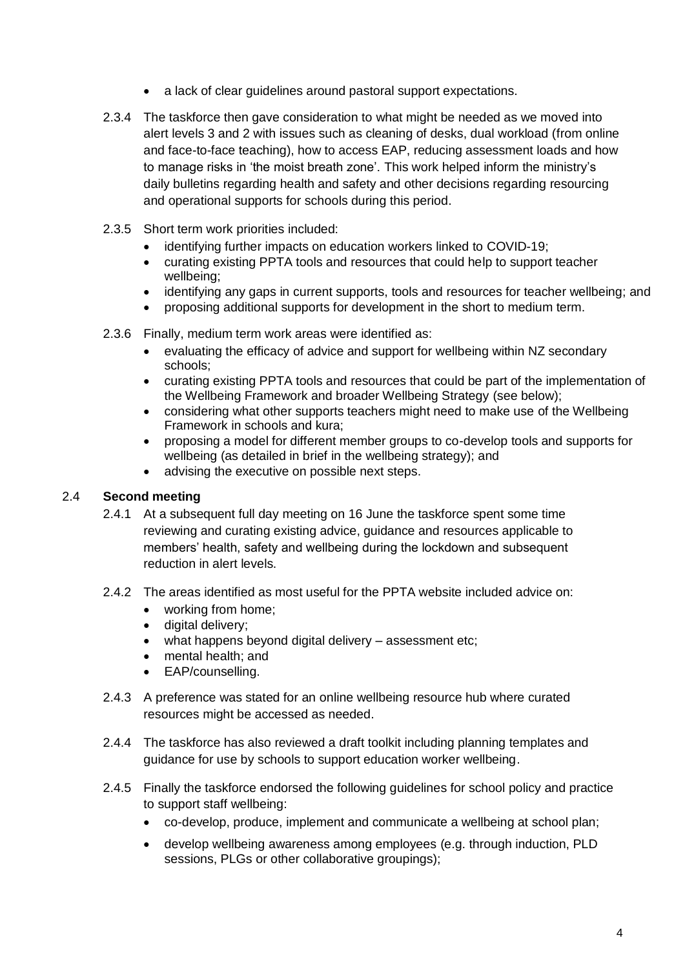- a lack of clear quidelines around pastoral support expectations.
- 2.3.4 The taskforce then gave consideration to what might be needed as we moved into alert levels 3 and 2 with issues such as cleaning of desks, dual workload (from online and face-to-face teaching), how to access EAP, reducing assessment loads and how to manage risks in 'the moist breath zone'. This work helped inform the ministry's daily bulletins regarding health and safety and other decisions regarding resourcing and operational supports for schools during this period.
- 2.3.5 Short term work priorities included:
	- identifying further impacts on education workers linked to COVID-19;
	- curating existing PPTA tools and resources that could help to support teacher wellbeing;
	- identifying any gaps in current supports, tools and resources for teacher wellbeing; and
	- proposing additional supports for development in the short to medium term.
- 2.3.6 Finally, medium term work areas were identified as:
	- evaluating the efficacy of advice and support for wellbeing within NZ secondary schools;
	- curating existing PPTA tools and resources that could be part of the implementation of the Wellbeing Framework and broader Wellbeing Strategy (see below);
	- considering what other supports teachers might need to make use of the Wellbeing Framework in schools and kura;
	- proposing a model for different member groups to co-develop tools and supports for wellbeing (as detailed in brief in the wellbeing strategy); and
	- advising the executive on possible next steps.

#### 2.4 **Second meeting**

- 2.4.1 At a subsequent full day meeting on 16 June the taskforce spent some time reviewing and curating existing advice, guidance and resources applicable to members' health, safety and wellbeing during the lockdown and subsequent reduction in alert levels.
- 2.4.2 The areas identified as most useful for the PPTA website included advice on:
	- working from home;
	- digital delivery;
	- what happens beyond digital delivery assessment etc;
	- mental health; and
	- **EAP/counselling.**
- 2.4.3 A preference was stated for an online wellbeing resource hub where curated resources might be accessed as needed.
- 2.4.4 The taskforce has also reviewed a draft toolkit including planning templates and guidance for use by schools to support education worker wellbeing.
- 2.4.5 Finally the taskforce endorsed the following guidelines for school policy and practice to support staff wellbeing:
	- co-develop, produce, implement and communicate a wellbeing at school plan;
	- develop wellbeing awareness among employees (e.g. through induction, PLD sessions, PLGs or other collaborative groupings);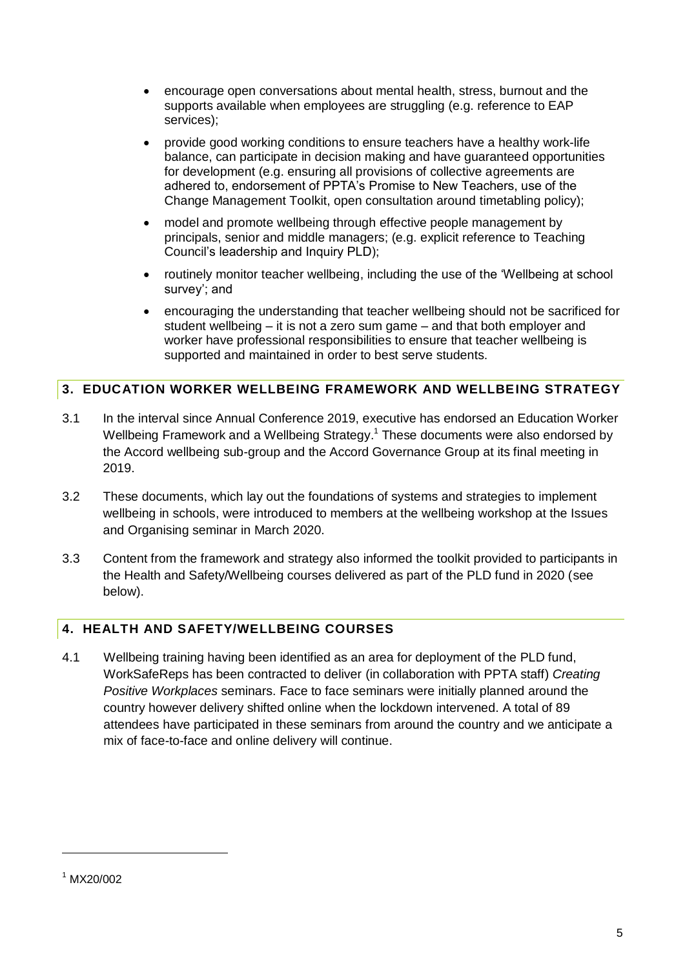- encourage open conversations about mental health, stress, burnout and the supports available when employees are struggling (e.g. reference to EAP services);
- provide good working conditions to ensure teachers have a healthy work-life balance, can participate in decision making and have guaranteed opportunities for development (e.g. ensuring all provisions of collective agreements are adhered to, endorsement of PPTA's Promise to New Teachers, use of the Change Management Toolkit, open consultation around timetabling policy);
- model and promote wellbeing through effective people management by principals, senior and middle managers; (e.g. explicit reference to Teaching Council's leadership and Inquiry PLD);
- routinely monitor teacher wellbeing, including the use of the 'Wellbeing at school survey'; and
- encouraging the understanding that teacher wellbeing should not be sacrificed for student wellbeing – it is not a zero sum game – and that both employer and worker have professional responsibilities to ensure that teacher wellbeing is supported and maintained in order to best serve students.

# <span id="page-5-0"></span>**3. EDUCATION WORKER WELLBEING FRAMEWORK AND WELLBEING STRATEGY**

- 3.1 In the interval since Annual Conference 2019, executive has endorsed an Education Worker Wellbeing Framework and a Wellbeing Strategy.<sup>1</sup> These documents were also endorsed by the Accord wellbeing sub-group and the Accord Governance Group at its final meeting in 2019.
- 3.2 These documents, which lay out the foundations of systems and strategies to implement wellbeing in schools, were introduced to members at the wellbeing workshop at the Issues and Organising seminar in March 2020.
- 3.3 Content from the framework and strategy also informed the toolkit provided to participants in the Health and Safety/Wellbeing courses delivered as part of the PLD fund in 2020 (see below).

# <span id="page-5-1"></span>**4. HEALTH AND SAFETY/WELLBEING COURSES**

4.1 Wellbeing training having been identified as an area for deployment of the PLD fund, WorkSafeReps has been contracted to deliver (in collaboration with PPTA staff) *Creating Positive Workplaces* seminars. Face to face seminars were initially planned around the country however delivery shifted online when the lockdown intervened. A total of 89 attendees have participated in these seminars from around the country and we anticipate a mix of face-to-face and online delivery will continue.

<span id="page-5-2"></span>-

<sup>1</sup> MX20/002